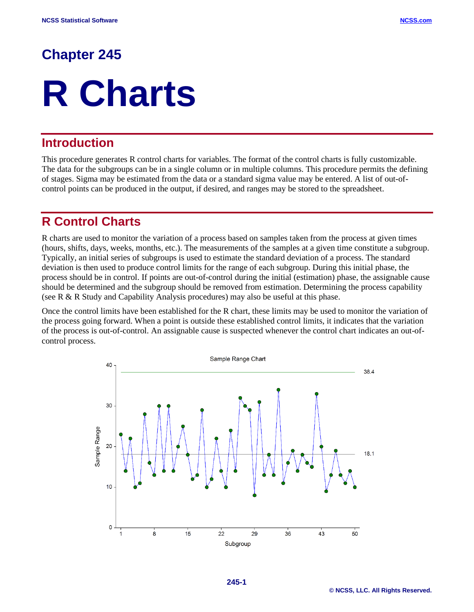# **Chapter 245**

# **R Charts**

## **Introduction**

This procedure generates R control charts for variables. The format of the control charts is fully customizable. The data for the subgroups can be in a single column or in multiple columns. This procedure permits the defining of stages. Sigma may be estimated from the data or a standard sigma value may be entered. A list of out-ofcontrol points can be produced in the output, if desired, and ranges may be stored to the spreadsheet.

# **R Control Charts**

R charts are used to monitor the variation of a process based on samples taken from the process at given times (hours, shifts, days, weeks, months, etc.). The measurements of the samples at a given time constitute a subgroup. Typically, an initial series of subgroups is used to estimate the standard deviation of a process. The standard deviation is then used to produce control limits for the range of each subgroup. During this initial phase, the process should be in control. If points are out-of-control during the initial (estimation) phase, the assignable cause should be determined and the subgroup should be removed from estimation. Determining the process capability (see R & R Study and Capability Analysis procedures) may also be useful at this phase.

Once the control limits have been established for the R chart, these limits may be used to monitor the variation of the process going forward. When a point is outside these established control limits, it indicates that the variation of the process is out-of-control. An assignable cause is suspected whenever the control chart indicates an out-ofcontrol process.

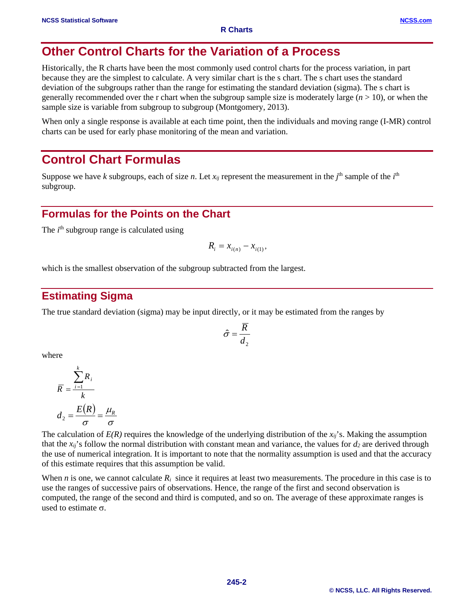## **Other Control Charts for the Variation of a Process**

Historically, the R charts have been the most commonly used control charts for the process variation, in part because they are the simplest to calculate. A very similar chart is the s chart. The s chart uses the standard deviation of the subgroups rather than the range for estimating the standard deviation (sigma). The s chart is generally recommended over the r chart when the subgroup sample size is moderately large  $(n > 10)$ , or when the sample size is variable from subgroup to subgroup (Montgomery, 2013).

When only a single response is available at each time point, then the individuals and moving range (I-MR) control charts can be used for early phase monitoring of the mean and variation.

# **Control Chart Formulas**

Suppose we have *k* subgroups, each of size *n*. Let  $x_{ij}$  represent the measurement in the  $j<sup>th</sup>$  sample of the  $i<sup>th</sup>$ subgroup.

## **Formulas for the Points on the Chart**

The *i*<sup>th</sup> subgroup range is calculated using

$$
R_i = x_{i(n)} - x_{i(1)},
$$

which is the smallest observation of the subgroup subtracted from the largest.

## **Estimating Sigma**

The true standard deviation (sigma) may be input directly, or it may be estimated from the ranges by

$$
\hat{\sigma} = \frac{\overline{R}}{d_2}
$$

where

$$
\overline{R} = \frac{\sum_{i=1}^{k} R_i}{k}
$$

$$
d_2 = \frac{E(R)}{\sigma} = \frac{\mu_R}{\sigma}
$$

The calculation of  $E(R)$  requires the knowledge of the underlying distribution of the  $x_{ii}$ 's. Making the assumption that the  $x_{ij}$ 's follow the normal distribution with constant mean and variance, the values for  $d_2$  are derived through the use of numerical integration*.* It is important to note that the normality assumption is used and that the accuracy of this estimate requires that this assumption be valid.

When *n* is one, we cannot calculate  $R_i$  since it requires at least two measurements. The procedure in this case is to use the ranges of successive pairs of observations. Hence, the range of the first and second observation is computed, the range of the second and third is computed, and so on. The average of these approximate ranges is used to estimate  $\sigma$ .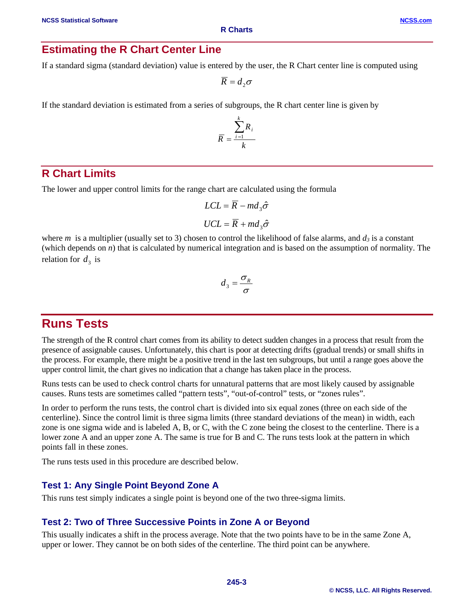**R Charts**

If a standard sigma (standard deviation) value is entered by the user, the R Chart center line is computed using

 $\overline{R} = d_2 \sigma$ 

If the standard deviation is estimated from a series of subgroups, the R chart center line is given by

$$
\overline{R} = \frac{\sum_{i=1}^{k} R_i}{k}
$$

## **R Chart Limits**

The lower and upper control limits for the range chart are calculated using the formula

$$
LCL = \overline{R} - md_3\hat{\sigma}
$$

$$
UCL = \overline{R} + md_3\hat{\sigma}
$$

where *m* is a multiplier (usually set to 3) chosen to control the likelihood of false alarms, and  $d_3$  is a constant (which depends on *n*) that is calculated by numerical integration and is based on the assumption of normality. The relation for  $d_3$  is

$$
d_3 = \frac{\sigma_R}{\sigma}
$$

# **Runs Tests**

The strength of the R control chart comes from its ability to detect sudden changes in a process that result from the presence of assignable causes. Unfortunately, this chart is poor at detecting drifts (gradual trends) or small shifts in the process. For example, there might be a positive trend in the last ten subgroups, but until a range goes above the upper control limit, the chart gives no indication that a change has taken place in the process.

Runs tests can be used to check control charts for unnatural patterns that are most likely caused by assignable causes. Runs tests are sometimes called "pattern tests", "out-of-control" tests, or "zones rules".

In order to perform the runs tests, the control chart is divided into six equal zones (three on each side of the centerline). Since the control limit is three sigma limits (three standard deviations of the mean) in width, each zone is one sigma wide and is labeled A, B, or C, with the C zone being the closest to the centerline. There is a lower zone A and an upper zone A. The same is true for B and C. The runs tests look at the pattern in which points fall in these zones.

The runs tests used in this procedure are described below.

#### **Test 1: Any Single Point Beyond Zone A**

This runs test simply indicates a single point is beyond one of the two three-sigma limits.

#### **Test 2: Two of Three Successive Points in Zone A or Beyond**

This usually indicates a shift in the process average. Note that the two points have to be in the same Zone A, upper or lower. They cannot be on both sides of the centerline. The third point can be anywhere.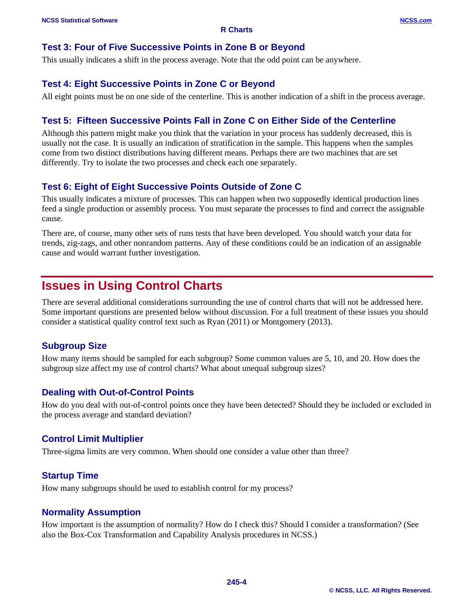## **Test 3: Four of Five Successive Points in Zone B or Beyond**

This usually indicates a shift in the process average. Note that the odd point can be anywhere.

#### **Test 4: Eight Successive Points in Zone C or Beyond**

All eight points must be on one side of the centerline. This is another indication of a shift in the process average.

## **Test 5: Fifteen Successive Points Fall in Zone C on Either Side of the Centerline**

Although this pattern might make you think that the variation in your process has suddenly decreased, this is usually not the case. It is usually an indication of stratification in the sample. This happens when the samples come from two distinct distributions having different means. Perhaps there are two machines that are set differently. Try to isolate the two processes and check each one separately.

## **Test 6: Eight of Eight Successive Points Outside of Zone C**

This usually indicates a mixture of processes. This can happen when two supposedly identical production lines feed a single production or assembly process. You must separate the processes to find and correct the assignable cause.

There are, of course, many other sets of runs tests that have been developed. You should watch your data for trends, zig-zags, and other nonrandom patterns. Any of these conditions could be an indication of an assignable cause and would warrant further investigation.

# **Issues in Using Control Charts**

There are several additional considerations surrounding the use of control charts that will not be addressed here. Some important questions are presented below without discussion. For a full treatment of these issues you should consider a statistical quality control text such as Ryan (2011) or Montgomery (2013).

#### **Subgroup Size**

How many items should be sampled for each subgroup? Some common values are 5, 10, and 20. How does the subgroup size affect my use of control charts? What about unequal subgroup sizes?

#### **Dealing with Out-of-Control Points**

How do you deal with out-of-control points once they have been detected? Should they be included or excluded in the process average and standard deviation?

#### **Control Limit Multiplier**

Three-sigma limits are very common. When should one consider a value other than three?

#### **Startup Time**

How many subgroups should be used to establish control for my process?

#### **Normality Assumption**

How important is the assumption of normality? How do I check this? Should I consider a transformation? (See also the Box-Cox Transformation and Capability Analysis procedures in NCSS.)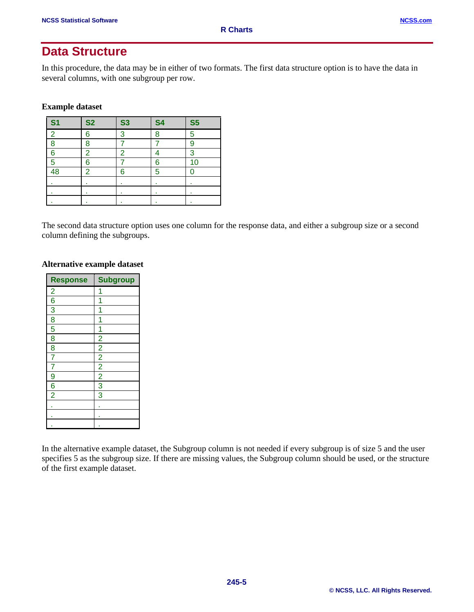## **Data Structure**

In this procedure, the data may be in either of two formats. The first data structure option is to have the data in several columns, with one subgroup per row.

**Example dataset**

| S <sub>1</sub> | <b>S2</b>      | <b>S3</b>      | <b>S4</b> | <b>S5</b> |
|----------------|----------------|----------------|-----------|-----------|
| $\overline{2}$ | 6              | 3              | 8         | 5         |
| 8              | 8              |                |           | 9         |
| 6              | $\overline{2}$ | $\overline{2}$ |           | 3         |
| 5              | 6              |                | 6         | 10        |
| 48             | $\overline{2}$ | 6              | 5         |           |
|                | ٠              | ٠              | ٠         | ٠         |
|                | ٠              | ٠              | ٠         | ٠         |
|                |                |                | ٠         |           |

The second data structure option uses one column for the response data, and either a subgroup size or a second column defining the subgroups.

#### **Alternative example dataset**

| <b>Response</b>         | <b>Subgroup</b> |
|-------------------------|-----------------|
| $\overline{2}$          | 1               |
| $\overline{6}$          |                 |
| 3                       | 1               |
| 8                       | 1               |
| 5                       | 1               |
| $\overline{8}$          | $\overline{2}$  |
| $\overline{\mathbf{8}}$ | $\overline{2}$  |
| 7                       | $\overline{2}$  |
| 7                       | $\frac{2}{2}$   |
| 9                       |                 |
| $\overline{6}$          | 3               |
| $\overline{2}$          | $\overline{3}$  |
|                         | ٠               |
|                         |                 |
|                         |                 |

In the alternative example dataset, the Subgroup column is not needed if every subgroup is of size 5 and the user specifies 5 as the subgroup size. If there are missing values, the Subgroup column should be used, or the structure of the first example dataset.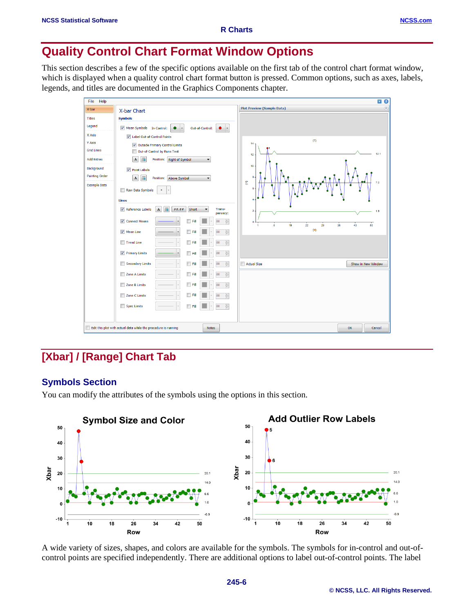# **Quality Control Chart Format Window Options**

This section describes a few of the specific options available on the first tab of the control chart format window, which is displayed when a quality control chart format button is pressed. Common options, such as axes, labels, legends, and titles are documented in the Graphics Components chapter.

| <b>Plot Preview (Sample Data)</b><br>X-bar<br>X-bar Chart<br><b>Symbols</b><br><b>Titles</b><br>Legend<br>Mean Symbols In-Control:<br>Out-of-Control:<br>$\checkmark$<br>۰<br>$\overline{\phantom{a}}$<br>X Axis<br>Label Out-of-Control Points<br>$\langle T \rangle$<br>Y Axis<br>$14 -$<br>Outside Primary Control Limits<br><b>Grid Lines</b><br>Out-of-Control by Runs Test<br>12.1<br>12<br><b>Add Extras</b><br>Position: Right of Symbol<br>$\mathbf{A}$<br>崖<br>▼<br>10<br>Background<br><b>V</b> Point Labels<br><b>Painting Order</b><br>8<br>$\mathbf{A}$<br>置<br>Position: Above Symbol<br>$\blacktriangledown$<br>$\boldsymbol{\Sigma}$<br>7.0<br><b>Example Data</b><br>6<br>Raw Data Symbols<br>$\blacksquare$<br><b>Lines</b><br>Reference Labels<br>Trans-<br>$\mathbf{A}$<br>Short<br>##.##<br>$\blacktriangledown$<br>œ<br>$\mathbf{2}$<br>1.9<br>parency:<br>$\frac{\triangle}{\mathbf{v}}$<br><b>▽</b> Connect Means<br>80<br>п<br>Fill<br>$\circ$<br>15<br>$\overline{22}$<br>29<br>36<br>43<br>50<br>8<br>$\overline{1}$<br><sub>[X]</sub><br>$\frac{\triangle}{\mathbb{V}}$<br>$\sqrt{ }$ Mean Line<br><b>TE</b><br>80<br>Trend Line<br>$\frac{\triangle}{\mathbf{v}}$<br>80<br>Fil<br>$\frac{\mathbb{A}}{\mathbb{V}}$<br><b>V</b> Primary Limits<br>80<br>Fil<br>Secondary Limits<br>$\frac{\triangle}{\triangledown}$<br>n<br>80<br>Actual Size<br>Show in New Window<br>Fil<br>Zone A Limits<br>$\frac{1}{x}$<br>80<br>Ei<br>$\frac{\triangle}{\triangledown}$<br>Zone B Limits<br>Fill<br>80<br>$\frac{\triangle}{\mathbf{v}}$<br>Zone C Limits<br>Fill<br>80<br>$\frac{1}{x}$<br>80<br>Spec Limits<br>Fill | Help<br>File | <b>DO</b>      |
|------------------------------------------------------------------------------------------------------------------------------------------------------------------------------------------------------------------------------------------------------------------------------------------------------------------------------------------------------------------------------------------------------------------------------------------------------------------------------------------------------------------------------------------------------------------------------------------------------------------------------------------------------------------------------------------------------------------------------------------------------------------------------------------------------------------------------------------------------------------------------------------------------------------------------------------------------------------------------------------------------------------------------------------------------------------------------------------------------------------------------------------------------------------------------------------------------------------------------------------------------------------------------------------------------------------------------------------------------------------------------------------------------------------------------------------------------------------------------------------------------------------------------------------------------------------------------------------------------------------------------------------|--------------|----------------|
|                                                                                                                                                                                                                                                                                                                                                                                                                                                                                                                                                                                                                                                                                                                                                                                                                                                                                                                                                                                                                                                                                                                                                                                                                                                                                                                                                                                                                                                                                                                                                                                                                                          |              | $\circledcirc$ |
|                                                                                                                                                                                                                                                                                                                                                                                                                                                                                                                                                                                                                                                                                                                                                                                                                                                                                                                                                                                                                                                                                                                                                                                                                                                                                                                                                                                                                                                                                                                                                                                                                                          |              |                |
|                                                                                                                                                                                                                                                                                                                                                                                                                                                                                                                                                                                                                                                                                                                                                                                                                                                                                                                                                                                                                                                                                                                                                                                                                                                                                                                                                                                                                                                                                                                                                                                                                                          |              |                |
|                                                                                                                                                                                                                                                                                                                                                                                                                                                                                                                                                                                                                                                                                                                                                                                                                                                                                                                                                                                                                                                                                                                                                                                                                                                                                                                                                                                                                                                                                                                                                                                                                                          |              |                |
|                                                                                                                                                                                                                                                                                                                                                                                                                                                                                                                                                                                                                                                                                                                                                                                                                                                                                                                                                                                                                                                                                                                                                                                                                                                                                                                                                                                                                                                                                                                                                                                                                                          |              |                |
|                                                                                                                                                                                                                                                                                                                                                                                                                                                                                                                                                                                                                                                                                                                                                                                                                                                                                                                                                                                                                                                                                                                                                                                                                                                                                                                                                                                                                                                                                                                                                                                                                                          |              |                |
|                                                                                                                                                                                                                                                                                                                                                                                                                                                                                                                                                                                                                                                                                                                                                                                                                                                                                                                                                                                                                                                                                                                                                                                                                                                                                                                                                                                                                                                                                                                                                                                                                                          |              |                |
|                                                                                                                                                                                                                                                                                                                                                                                                                                                                                                                                                                                                                                                                                                                                                                                                                                                                                                                                                                                                                                                                                                                                                                                                                                                                                                                                                                                                                                                                                                                                                                                                                                          |              |                |
|                                                                                                                                                                                                                                                                                                                                                                                                                                                                                                                                                                                                                                                                                                                                                                                                                                                                                                                                                                                                                                                                                                                                                                                                                                                                                                                                                                                                                                                                                                                                                                                                                                          |              |                |
|                                                                                                                                                                                                                                                                                                                                                                                                                                                                                                                                                                                                                                                                                                                                                                                                                                                                                                                                                                                                                                                                                                                                                                                                                                                                                                                                                                                                                                                                                                                                                                                                                                          |              |                |
|                                                                                                                                                                                                                                                                                                                                                                                                                                                                                                                                                                                                                                                                                                                                                                                                                                                                                                                                                                                                                                                                                                                                                                                                                                                                                                                                                                                                                                                                                                                                                                                                                                          |              |                |
|                                                                                                                                                                                                                                                                                                                                                                                                                                                                                                                                                                                                                                                                                                                                                                                                                                                                                                                                                                                                                                                                                                                                                                                                                                                                                                                                                                                                                                                                                                                                                                                                                                          |              |                |
|                                                                                                                                                                                                                                                                                                                                                                                                                                                                                                                                                                                                                                                                                                                                                                                                                                                                                                                                                                                                                                                                                                                                                                                                                                                                                                                                                                                                                                                                                                                                                                                                                                          |              |                |
|                                                                                                                                                                                                                                                                                                                                                                                                                                                                                                                                                                                                                                                                                                                                                                                                                                                                                                                                                                                                                                                                                                                                                                                                                                                                                                                                                                                                                                                                                                                                                                                                                                          |              |                |
|                                                                                                                                                                                                                                                                                                                                                                                                                                                                                                                                                                                                                                                                                                                                                                                                                                                                                                                                                                                                                                                                                                                                                                                                                                                                                                                                                                                                                                                                                                                                                                                                                                          |              |                |
|                                                                                                                                                                                                                                                                                                                                                                                                                                                                                                                                                                                                                                                                                                                                                                                                                                                                                                                                                                                                                                                                                                                                                                                                                                                                                                                                                                                                                                                                                                                                                                                                                                          |              |                |
|                                                                                                                                                                                                                                                                                                                                                                                                                                                                                                                                                                                                                                                                                                                                                                                                                                                                                                                                                                                                                                                                                                                                                                                                                                                                                                                                                                                                                                                                                                                                                                                                                                          |              |                |
|                                                                                                                                                                                                                                                                                                                                                                                                                                                                                                                                                                                                                                                                                                                                                                                                                                                                                                                                                                                                                                                                                                                                                                                                                                                                                                                                                                                                                                                                                                                                                                                                                                          |              |                |
|                                                                                                                                                                                                                                                                                                                                                                                                                                                                                                                                                                                                                                                                                                                                                                                                                                                                                                                                                                                                                                                                                                                                                                                                                                                                                                                                                                                                                                                                                                                                                                                                                                          |              |                |
|                                                                                                                                                                                                                                                                                                                                                                                                                                                                                                                                                                                                                                                                                                                                                                                                                                                                                                                                                                                                                                                                                                                                                                                                                                                                                                                                                                                                                                                                                                                                                                                                                                          |              |                |
|                                                                                                                                                                                                                                                                                                                                                                                                                                                                                                                                                                                                                                                                                                                                                                                                                                                                                                                                                                                                                                                                                                                                                                                                                                                                                                                                                                                                                                                                                                                                                                                                                                          |              |                |
| Edit this plot with actual data while the procedure is running<br><b>Notes</b><br>OK<br>Cancel                                                                                                                                                                                                                                                                                                                                                                                                                                                                                                                                                                                                                                                                                                                                                                                                                                                                                                                                                                                                                                                                                                                                                                                                                                                                                                                                                                                                                                                                                                                                           | г            |                |

# **[Xbar] / [Range] Chart Tab**

#### **Symbols Section**

You can modify the attributes of the symbols using the options in this section.



A wide variety of sizes, shapes, and colors are available for the symbols. The symbols for in-control and out-ofcontrol points are specified independently. There are additional options to label out-of-control points. The label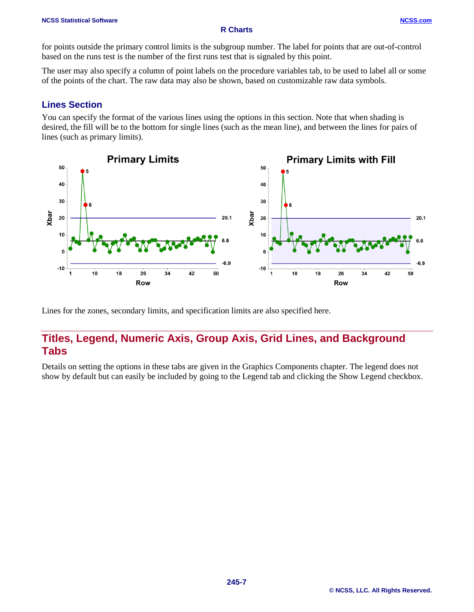#### **NCSS Statistical Software [NCSS.com](http://www.ncss.com/)**

#### **R Charts**

for points outside the primary control limits is the subgroup number. The label for points that are out-of-control based on the runs test is the number of the first runs test that is signaled by this point.

The user may also specify a column of point labels on the procedure variables tab, to be used to label all or some of the points of the chart. The raw data may also be shown, based on customizable raw data symbols.

#### **Lines Section**

You can specify the format of the various lines using the options in this section. Note that when shading is desired, the fill will be to the bottom for single lines (such as the mean line), and between the lines for pairs of lines (such as primary limits).



Lines for the zones, secondary limits, and specification limits are also specified here.

## **Titles, Legend, Numeric Axis, Group Axis, Grid Lines, and Background Tabs**

Details on setting the options in these tabs are given in the Graphics Components chapter. The legend does not show by default but can easily be included by going to the Legend tab and clicking the Show Legend checkbox.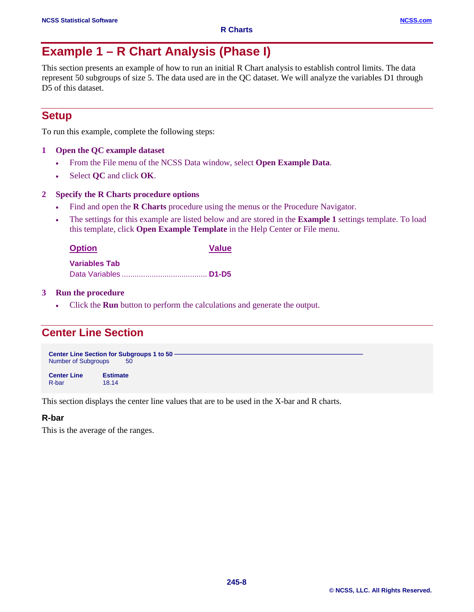# **Example 1 – R Chart Analysis (Phase I)**

This section presents an example of how to run an initial R Chart analysis to establish control limits. The data represent 50 subgroups of size 5. The data used are in the QC dataset. We will analyze the variables D1 through D5 of this dataset.

## **Setup**

To run this example, complete the following steps:

- **1 Open the QC example dataset**
	- From the File menu of the NCSS Data window, select **Open Example Data**.
	- Select **QC** and click **OK**.

#### **2 Specify the R Charts procedure options**

- Find and open the **R Charts** procedure using the menus or the Procedure Navigator.
- The settings for this example are listed below and are stored in the **Example 1** settings template. To load this template, click **Open Example Template** in the Help Center or File menu.

| <b>Option</b>        | <b>Value</b> |
|----------------------|--------------|
| <b>Variables Tab</b> |              |
|                      |              |

**3 Run the procedure**

• Click the **Run** button to perform the calculations and generate the output.

## **Center Line Section**

**Center Line Section for Subgroups 1 to 50**<br>Number of Subgroups 50 Number of Subgroups

**Center Line Estimate** R-bar 18.14

This section displays the center line values that are to be used in the X-bar and R charts.

#### **R-bar**

This is the average of the ranges.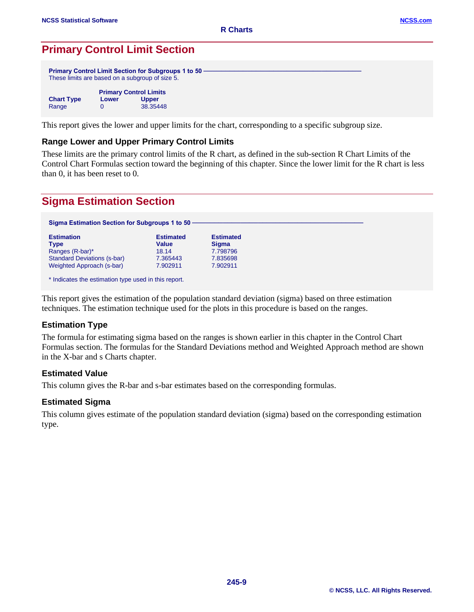## **Primary Control Limit Section**

|                   |       | <b>Primary Control Limit Section for Subgroups 1 to 50.</b><br>These limits are based on a subgroup of size 5. |  |  |
|-------------------|-------|----------------------------------------------------------------------------------------------------------------|--|--|
|                   |       | <b>Primary Control Limits</b>                                                                                  |  |  |
| <b>Chart Type</b> | Lower | <b>Upper</b>                                                                                                   |  |  |
| Range             |       | 38.35448                                                                                                       |  |  |

This report gives the lower and upper limits for the chart, corresponding to a specific subgroup size.

#### **Range Lower and Upper Primary Control Limits**

These limits are the primary control limits of the R chart, as defined in the sub-section R Chart Limits of the Control Chart Formulas section toward the beginning of this chapter. Since the lower limit for the R chart is less than 0, it has been reset to 0.

## **Sigma Estimation Section**

| Sigma Estimation Section for Subgroups 1 to 50 - |                           |                                  |
|--------------------------------------------------|---------------------------|----------------------------------|
| <b>Estimation</b><br>Type                        | <b>Estimated</b><br>Value | <b>Estimated</b><br><b>Sigma</b> |
| Ranges (R-bar)*                                  | 18.14                     | 7.798796                         |
| <b>Standard Deviations (s-bar)</b>               | 7.365443                  | 7.835698                         |
| Weighted Approach (s-bar)                        | 7.902911                  | 7.902911                         |

This report gives the estimation of the population standard deviation (sigma) based on three estimation techniques. The estimation technique used for the plots in this procedure is based on the ranges.

#### **Estimation Type**

The formula for estimating sigma based on the ranges is shown earlier in this chapter in the Control Chart Formulas section. The formulas for the Standard Deviations method and Weighted Approach method are shown in the X-bar and s Charts chapter.

#### **Estimated Value**

This column gives the R-bar and s-bar estimates based on the corresponding formulas.

#### **Estimated Sigma**

This column gives estimate of the population standard deviation (sigma) based on the corresponding estimation type.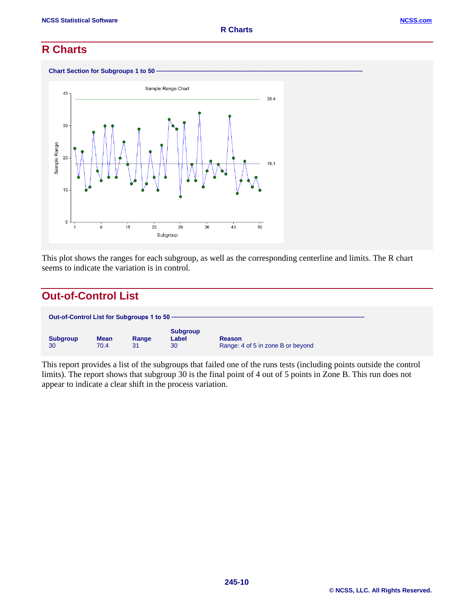## **R Charts**



This plot shows the ranges for each subgroup, as well as the corresponding centerline and limits. The R chart seems to indicate the variation is in control.

## **Out-of-Control List**

| Out-of-Control List for Subgroups 1 to 50 - |                     |             |                                |                                                    |
|---------------------------------------------|---------------------|-------------|--------------------------------|----------------------------------------------------|
| <b>Subgroup</b><br>30                       | <b>Mean</b><br>70.4 | Range<br>31 | <b>Subgroup</b><br>Label<br>30 | <b>Reason</b><br>Range: 4 of 5 in zone B or beyond |

This report provides a list of the subgroups that failed one of the runs tests (including points outside the control limits). The report shows that subgroup 30 is the final point of 4 out of 5 points in Zone B. This run does not appear to indicate a clear shift in the process variation.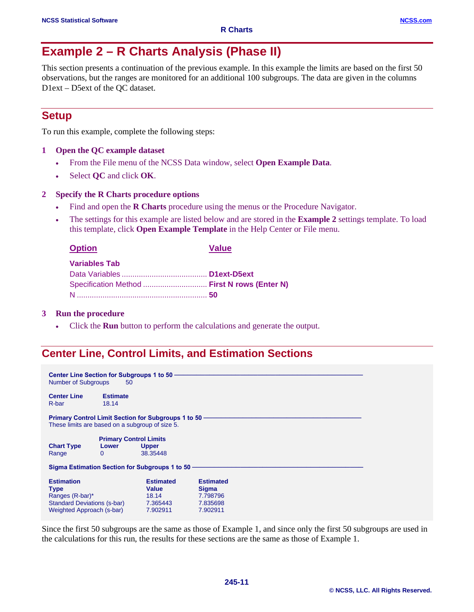# **Example 2 – R Charts Analysis (Phase II)**

This section presents a continuation of the previous example. In this example the limits are based on the first 50 observations, but the ranges are monitored for an additional 100 subgroups. The data are given in the columns D1ext – D5ext of the QC dataset.

## **Setup**

To run this example, complete the following steps:

- **1 Open the QC example dataset**
	- From the File menu of the NCSS Data window, select **Open Example Data**.
	- Select **QC** and click **OK**.

#### **2 Specify the R Charts procedure options**

- Find and open the **R Charts** procedure using the menus or the Procedure Navigator.
- The settings for this example are listed below and are stored in the **Example 2** settings template. To load this template, click **Open Example Template** in the Help Center or File menu.

| г<br>кc<br>m |  |
|--------------|--|
|              |  |

**Value** 

| <b>Variables Tab</b>                         |  |
|----------------------------------------------|--|
|                                              |  |
| Specification Method  First N rows (Enter N) |  |
|                                              |  |

#### **3 Run the procedure**

• Click the **Run** button to perform the calculations and generate the output.

## **Center Line, Control Limits, and Estimation Sections**

| <b>Center Line Section for Subgroups 1 to 50 -</b><br><b>Number of Subgroups</b>                                       | 50                                                 |                                                              |                                                                      |
|------------------------------------------------------------------------------------------------------------------------|----------------------------------------------------|--------------------------------------------------------------|----------------------------------------------------------------------|
| <b>Center Line</b><br>R-bar                                                                                            | <b>Estimate</b><br>18.14                           |                                                              |                                                                      |
| These limits are based on a subgroup of size 5.                                                                        |                                                    | <b>Primary Control Limit Section for Subgroups 1 to 50 -</b> |                                                                      |
| <b>Chart Type</b><br>Range                                                                                             | <b>Primary Control Limits</b><br>Lower<br>$\Omega$ | <b>Upper</b><br>38.35448                                     |                                                                      |
|                                                                                                                        |                                                    | Sigma Estimation Section for Subgroups 1 to 50 -             |                                                                      |
| <b>Estimation</b><br><b>Type</b><br>Ranges (R-bar)*<br><b>Standard Deviations (s-bar)</b><br>Weighted Approach (s-bar) |                                                    | <b>Estimated</b><br>Value<br>18.14<br>7.365443<br>7.902911   | <b>Estimated</b><br><b>Sigma</b><br>7.798796<br>7.835698<br>7.902911 |

Since the first 50 subgroups are the same as those of Example 1, and since only the first 50 subgroups are used in the calculations for this run, the results for these sections are the same as those of Example 1.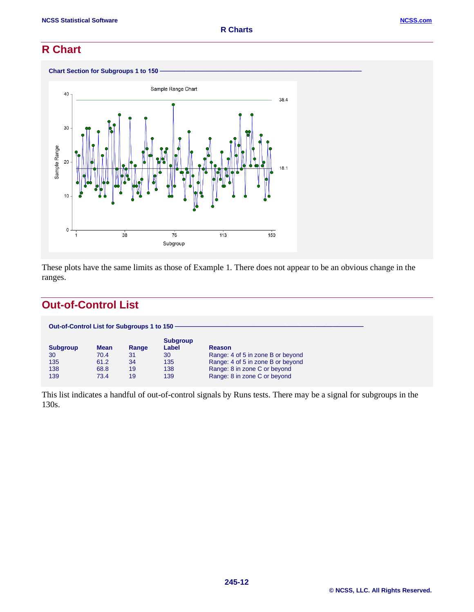## **R Chart**



These plots have the same limits as those of Example 1. There does not appear to be an obvious change in the ranges.

## **Out-of-Control List**

| Out-of-Control List for Subgroups 1 to 150 - |             |       |                          |                                   |
|----------------------------------------------|-------------|-------|--------------------------|-----------------------------------|
| <b>Subgroup</b>                              | <b>Mean</b> | Range | <b>Subgroup</b><br>Label | Reason                            |
| 30                                           | 70.4        | 31    | 30                       | Range: 4 of 5 in zone B or beyond |
| 135                                          | 61.2        | 34    | 135                      | Range: 4 of 5 in zone B or beyond |
| 138                                          | 68.8        | 19    | 138                      | Range: 8 in zone C or beyond      |
| 139                                          | 73.4        | 19    | 139                      | Range: 8 in zone C or beyond      |

This list indicates a handful of out-of-control signals by Runs tests. There may be a signal for subgroups in the 130s.